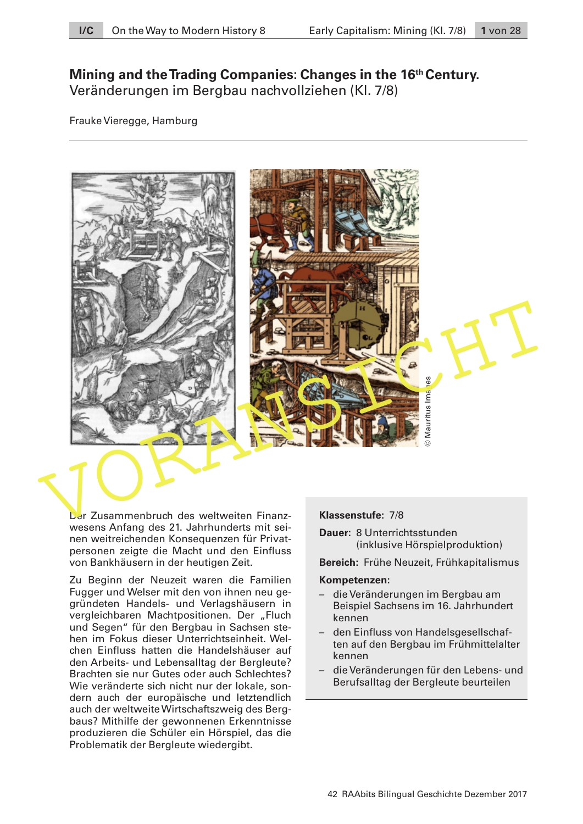# **Mining and the Trading Companies: Changes in the 16th Century.**  Veränderungen im Bergbau nachvollziehen (Kl. 7/8)

Frauke Vieregge, Hamburg





Der Zusammenbruch des weltweiten Finanzwesens Anfang des 21. Jahrhunderts mit seinen weitreichenden Konsequenzen für Privatpersonen zeigte die Macht und den Einfluss von Bankhäusern in der heutigen Zeit.

Zu Beginn der Neuzeit waren die Familien Fugger und Welser mit den von ihnen neu gegründeten Handels- und Verlagshäusern in vergleichbaren Machtpositionen. Der "Fluch und Segen" für den Bergbau in Sachsen stehen im Fokus dieser Unterrichtseinheit. Welchen Einfluss hatten die Handelshäuser auf den Arbeits- und Lebensalltag der Bergleute? Brachten sie nur Gutes oder auch Schlechtes? Wie veränderte sich nicht nur der lokale, sondern auch der europäische und letztendlich auch der weltweite Wirtschaftszweig des Bergbaus? Mithilfe der gewonnenen Erkenntnisse produzieren die Schüler ein Hörspiel, das die Problematik der Bergleute wiedergibt.

#### **Klassenstufe:** 7/8

**Dauer:** 8 Unterrichtsstunden (inklusive Hörspielproduktion)

**Bereich:** Frühe Neuzeit, Frühkapitalismus

#### **Kompetenzen:**

- die Veränderungen im Bergbau am Beispiel Sachsens im 16. Jahrhundert kennen
- den Einfluss von Handelsgesellschaften auf den Bergbau im Frühmittelalter kennen
- die Veränderungen für den Lebens- und Berufsalltag der Bergleute beurteilen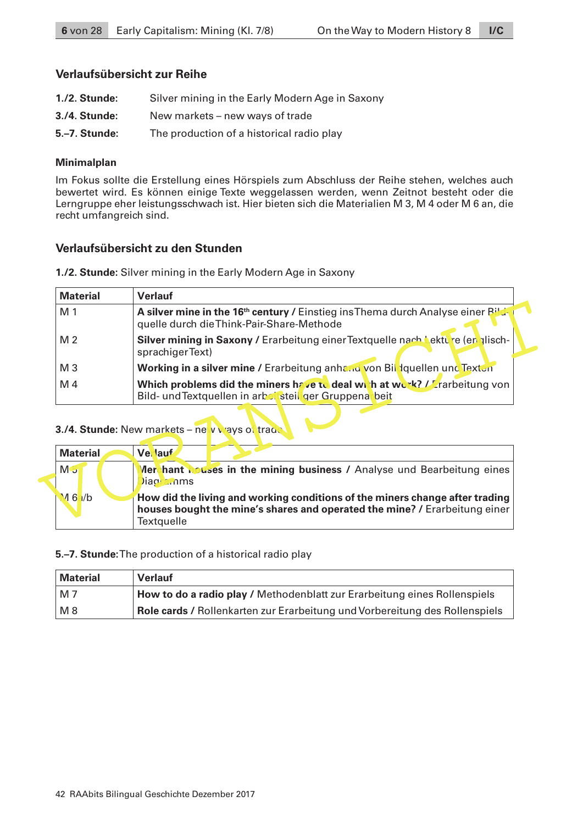### **Verlaufsübersicht zur Reihe**

- **1./2. Stunde:** Silver mining in the Early Modern Age in Saxony
- **3./4. Stunde:** New markets new ways of trade
- **5.–7. Stunde:** The production of a historical radio play

### **Minimalplan**

Im Fokus sollte die Erstellung eines Hörspiels zum Abschluss der Reihe stehen, welches auch bewertet wird. Es können einige Texte weggelassen werden, wenn Zeitnot besteht oder die Lerngruppe eher leistungsschwach ist. Hier bieten sich die Materialien M 3, M 4 oder M 6 an, die recht umfangreich sind.

### **Verlaufsübersicht zu den Stunden**

**1./2. Stunde:** Silver mining in the Early Modern Age in Saxony

| <b>Material</b> | <b>Verlauf</b>                                                                                                                            |  |  |  |  |  |  |
|-----------------|-------------------------------------------------------------------------------------------------------------------------------------------|--|--|--|--|--|--|
| M 1             | A silver mine in the 16 <sup>th</sup> century / Einstieg ins Thema durch Analyse einer Bild-<br>quelle durch die Think-Pair-Share-Methode |  |  |  |  |  |  |
| M 2             | Silver mining in Saxony / Erarbeitung einer Textquelle nach bekture (en plisch-<br>sprachigerText)                                        |  |  |  |  |  |  |
| M 3             | <b>Working in a silver mine / Erarbeitung anhand von Bill Iquellen und Textun</b>                                                         |  |  |  |  |  |  |
| M 4             | Which problems did the miners have to deal with at work? $L^r$ rarbeitung von<br>Bild- und Textquellen in arbot steil ger Gruppena beit   |  |  |  |  |  |  |
|                 | 3./4. Stunde: New markets - new viays of trade                                                                                            |  |  |  |  |  |  |
| <b>Material</b> | <b>Ve</b> lauf                                                                                                                            |  |  |  |  |  |  |
|                 |                                                                                                                                           |  |  |  |  |  |  |
| M J             | <b>Merchant nouses in the mining business / Analyse und Bearbeitung eines</b><br>Jiagi anms                                               |  |  |  |  |  |  |

### **3./4. Stunde:** New markets – new ways of trade

| <b>Material</b> |  | Ve lauf           |                                                                                                                                                            |
|-----------------|--|-------------------|------------------------------------------------------------------------------------------------------------------------------------------------------------|
| M 5             |  | Diagha, nms       | Merchant Louses in the mining business / Analyse und Bearbeitung eines                                                                                     |
| $M_6/ b$        |  | <b>Textquelle</b> | How did the living and working conditions of the miners change after trading<br>houses bought the mine's shares and operated the mine? / Erarbeitung einer |

#### **5.–7. Stunde:** The production of a historical radio play

| Material   | <b>Verlauf</b>                                                              |
|------------|-----------------------------------------------------------------------------|
| $\mid$ M 7 | How to do a radio play / Methodenblatt zur Erarbeitung eines Rollenspiels   |
| M8         | Role cards / Rollenkarten zur Erarbeitung und Vorbereitung des Rollenspiels |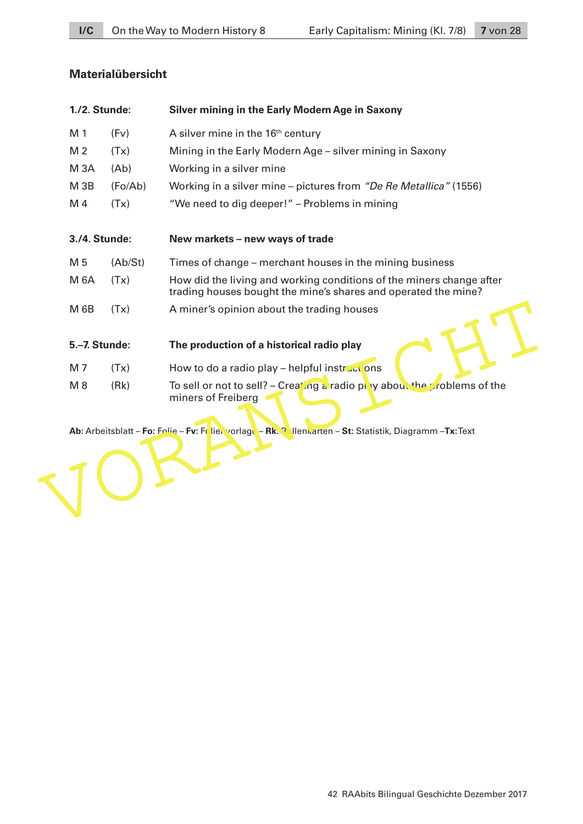## **Materialübersicht**

| 1./2. Stunde:   |         | <b>Silver mining in the Early Modern Age in Saxony</b>                                                                                 |
|-----------------|---------|----------------------------------------------------------------------------------------------------------------------------------------|
| M 1             | (Fv)    | A silver mine in the 16 <sup>th</sup> century                                                                                          |
| M <sub>2</sub>  | (Tx)    | Mining in the Early Modern Age - silver mining in Saxony                                                                               |
| <b>M3A</b>      | (Ab)    | Working in a silver mine                                                                                                               |
| M <sub>3B</sub> | (Fo/Ab) | Working in a silver mine – pictures from "De Re Metallica" (1556)                                                                      |
| M 4             | (Tx)    | "We need to dig deeper!" - Problems in mining                                                                                          |
| 3./4. Stunde:   |         | New markets - new ways of trade                                                                                                        |
| M 5             | (Ab/St) | Times of change – merchant houses in the mining business                                                                               |
| <b>M 6A</b>     | (Tx)    | How did the living and working conditions of the miners change after<br>trading houses bought the mine's shares and operated the mine? |
| M 6B            | (Tx)    | A miner's opinion about the trading houses                                                                                             |
| 5.-7. Stunde:   |         | The production of a historical radio play                                                                                              |
| M 7             | (Tx)    | How to do a radio play - helpful instructions                                                                                          |
| $M_8$           | (Rk)    | To sell or not to sell? – Creating a radio pluy about the problems of the<br>miners of Freiberg                                        |

Ab: Arbeitsblatt – **Fo:** Folie – **Fv:** Folienvorlage – **Rk:** Rollenkarten – **St**: Statistik, Diagramm –**Tx**: Text VORANSICHT – **Rk:** Rollenkarten – **St**: Statistik, Diagramm –**Tx**: Text VORANSICHT – RK: Resp. 2014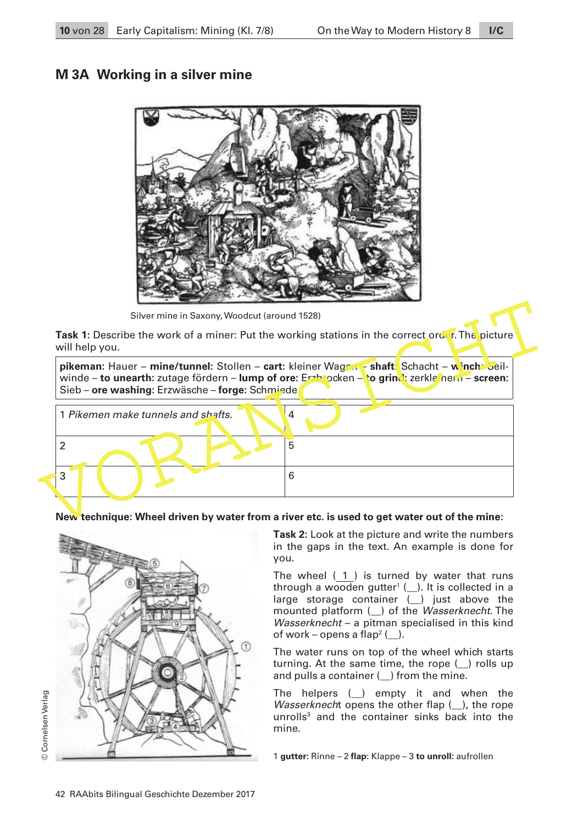# **M 3A Working in a silver mine**



Silver mine in Saxony, Woodcut (around 1528)

**Task 1:** Describe the work of a miner: Put the working stations in the correct order. The picture will help you.





### **New technique: Wheel driven by water from a river etc. is used to get water out of the mine:**



**Task 2:** Look at the picture and write the numbers in the gaps in the text. An example is done for you.

The wheel (1) is turned by water that runs through a wooden gutter<sup>1</sup>  $(\_)$ . It is collected in a large storage container (\_) just above the mounted platform ( $\Box$ ) of the Wasserknecht. The Wasserknecht – a pitman specialised in this kind of work – opens a flap<sup>2</sup> ( $\Box$ ).

The water runs on top of the wheel which starts turning. At the same time, the rope (\_\_) rolls up and pulls a container ( $\Box$ ) from the mine.

The helpers  $(\_)$  empty it and when the *Wasserknecht* opens the other flap  $($   $)$ , the rope unrolls<sup>3</sup> and the container sinks back into the mine.

1 **gutter:** Rinne – 2 **flap:** Klappe – 3 **to unroll:** aufrollen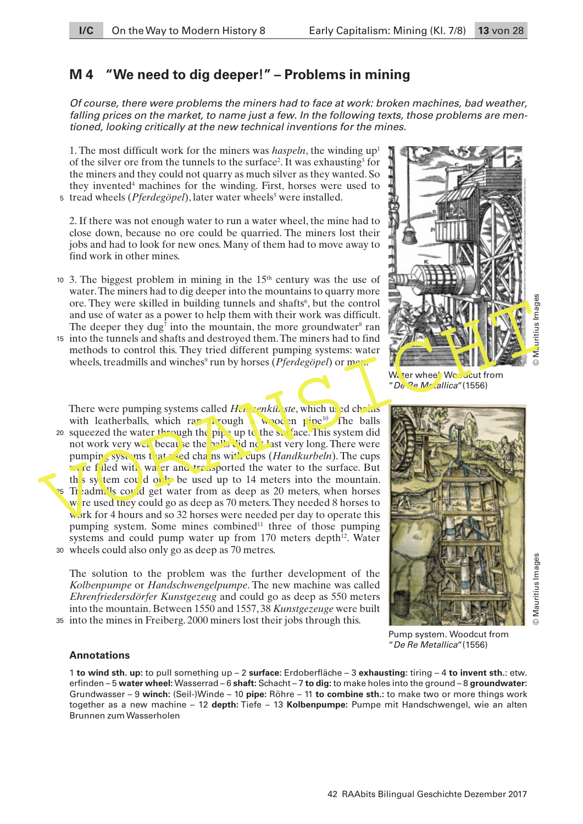# **M 4 "We need to dig deeper!" – Problems in mining**

*Of course, there were problems the miners had to face at work: broken machines, bad weather, falling prices on the market, to name just a few. In the following texts, those problems are mentioned, looking critically at the new technical inventions for the mines.*

1. The most difficult work for the miners was *haspeln*, the winding  $up<sup>1</sup>$ of the silver ore from the tunnels to the surface<sup>2</sup>. It was exhausting<sup>3</sup> for the miners and they could not quarry as much silver as they wanted. So they invented<sup>4</sup> machines for the winding. First, horses were used to 5 tread wheels (Pferdegöpel), later water wheels<sup>5</sup> were installed.

2. If there was not enough water to run a water wheel, the mine had to close down, because no ore could be quarried. The miners lost their jobs and had to look for new ones. Many of them had to move away to find work in other mines.

- 10 3. The biggest problem in mining in the  $15<sup>th</sup>$  century was the use of water. The miners had to dig deeper into the mountains to quarry more ore. They were skilled in building tunnels and shafts<sup>6</sup>, but the control and use of water as a power to help them with their work was difficult. The deeper they dug<sup>7</sup> into the mountain, the more groundwater<sup>8</sup> ran
- into the tunnels and shafts and destroyed them. The miners had to find 15 methods to control this. They tried different pumping systems: water wheels, treadmills and winches<sup>9</sup> run by horses (*Pferdegöpel*) or men.

There were pumping systems called *Heinzenkünste*, which used chains with leatherballs, which ran through a wooden pipe<sup>10</sup>. The balls 20 squeezed the water through the pipe up to the surface. This system did not work very well because the **balls** did not last very long. There were pumping systems that used chains with cups (*Handkurbeln*). The cups were filled with water and transported the water to the surface. But the system could only be used up to 14 meters into the mountain. 25 Tr<sub>e</sub>admills could get water from as deep as 20 meters, when horses were used they could go as deep as 70 meters. They needed 8 horses to work for 4 hours and so 32 horses were needed per day to operate this pumping system. Some mines combined<sup>11</sup> three of those pumping systems and could pump water up from 170 meters depth<sup>12</sup>. Water wheels could also only go as deep as 70 metres. 30 ore. They were skilled in building tunnels and shafts, but the control of the most and shafts and described to control this. They tried different pumping systems water in the most and shafts and destroyed them. The minimi

The solution to the problem was the further development of the *Kolbenpumpe* or *Handschwengelpumpe*. The new machine was called *Ehrenfriedersdörfer Kunstgezeug* and could go as deep as 550 meters into the mountain. Between 1550 and 1557, 38 *Kunstgezeuge* were built into the mines in Freiberg. 2000 miners lost their jobs through this. 35



Water wheel. Woodcut from "*De Re Metallica*"(1556)



Mauritius Images © Mauritius Images

Pump system. Woodcut from "*De Re Metallica*"(1556)

#### **Annotations**

1 **to wind sth. up:** to pull something up – 2 **surface:** Erdoberfläche – 3 **exhausting:** tiring – 4 **to invent sth.**: etw. erfinden – 5 **water wheel:** Wasserrad – 6 **shaft:** Schacht – 7 **to dig:** to make holes into the ground – 8 **groundwater:** Grundwasser – 9 **winch:** (Seil-)Winde – 10 **pipe:** Röhre – 11 **to combine sth.:** to make two or more things work together as a new machine – 12 **depth:** Tiefe – 13 **Kolbenpumpe:** Pumpe mit Handschwengel, wie an alten Brunnen zum Wasserholen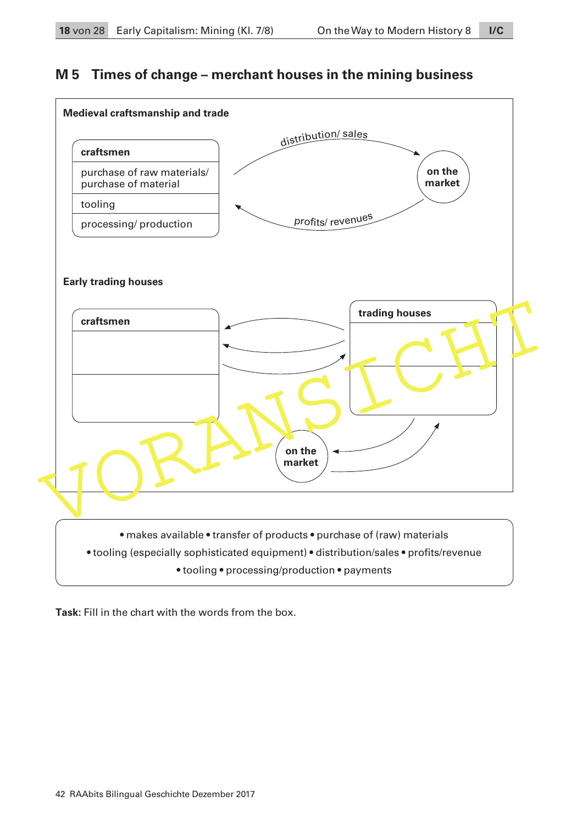# **M 5 Times of change – merchant houses in the mining business**



**Task:** Fill in the chart with the words from the box.